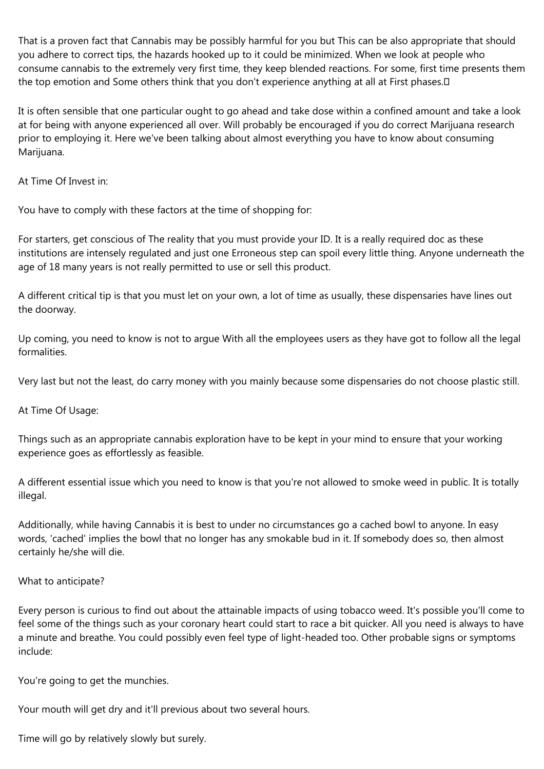That is a proven fact that Cannabis may be possibly harmful for you but This can be also appropriate that should you adhere to correct tips, the hazards hooked up to it could be minimized. When we look at people who consume cannabis to the extremely very first time, they keep blended reactions. For some, first time presents them the top emotion and Some others think that you don't experience anything at all at First phases.

It is often sensible that one particular ought to go ahead and take dose within a confined amount and take a look at for being with anyone experienced all over. Will probably be encouraged if you do correct Marijuana research prior to employing it. Here we've been talking about almost everything you have to know about consuming Marijuana.

At Time Of Invest in:

You have to comply with these factors at the time of shopping for:

For starters, get conscious of The reality that you must provide your ID. It is a really required doc as these institutions are intensely regulated and just one Erroneous step can spoil every little thing. Anyone underneath the age of 18 many years is not really permitted to use or sell this product.

A different critical tip is that you must let on your own, a lot of time as usually, these dispensaries have lines out the doorway.

Up coming, you need to know is not to argue With all the employees users as they have got to follow all the legal formalities.

Very last but not the least, do carry money with you mainly because some dispensaries do not choose plastic still.

At Time Of Usage:

Things such as an appropriate cannabis exploration have to be kept in your mind to ensure that your working experience goes as effortlessly as feasible.

A different essential issue which you need to know is that you're not allowed to smoke weed in public. It is totally illegal.

Additionally, while having Cannabis it is best to under no circumstances go a cached bowl to anyone. In easy words, 'cached' implies the bowl that no longer has any smokable bud in it. If somebody does so, then almost certainly he/she will die.

What to anticipate?

Every person is curious to find out about the attainable impacts of using tobacco weed. It's possible you'll come to feel some of the things such as your coronary heart could start to race a bit quicker. All you need is always to have a minute and breathe. You could possibly even feel type of light-headed too. Other probable signs or symptoms include:

You're going to get the munchies.

Your mouth will get dry and it'll previous about two several hours.

Time will go by relatively slowly but surely.